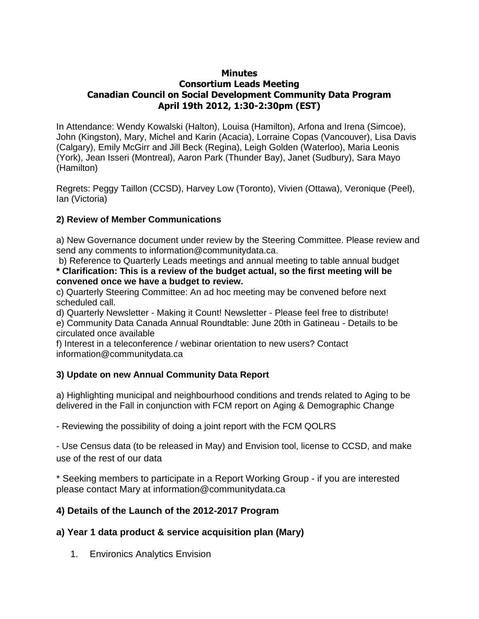### **Minutes**

# **Consortium Leads Meeting Canadian Council on Social Development Community Data Program April 19th 2012, 1:30-2:30pm (EST)**

In Attendance: Wendy Kowalski (Halton), Louisa (Hamilton), Arfona and Irena (Simcoe), John (Kingston), Mary, Michel and Karin (Acacia), Lorraine Copas (Vancouver), Lisa Davis (Calgary), Emily McGirr and Jill Beck (Regina), Leigh Golden (Waterloo), Maria Leonis (York), Jean Isseri (Montreal), Aaron Park (Thunder Bay), Janet (Sudbury), Sara Mayo (Hamilton)

Regrets: Peggy Taillon (CCSD), Harvey Low (Toronto), Vivien (Ottawa), Veronique (Peel), Ian (Victoria)

## **2) Review of Member Communications**

a) New Governance document under review by the Steering Committee. Please review and send any comments to information@communitydata.ca.

b) Reference to Quarterly Leads meetings and annual meeting to table annual budget **\* Clarification: This is a review of the budget actual, so the first meeting will be convened once we have a budget to review.**

c) Quarterly Steering Committee: An ad hoc meeting may be convened before next scheduled call.

d) Quarterly Newsletter - Making it Count! Newsletter - Please feel free to distribute! e) Community Data Canada Annual Roundtable: June 20th in Gatineau - Details to be circulated once available

f) Interest in a teleconference / webinar orientation to new users? Contact information@communitydata.ca

## **3) Update on new Annual Community Data Report**

a) Highlighting municipal and neighbourhood conditions and trends related to Aging to be delivered in the Fall in conjunction with FCM report on Aging & Demographic Change

- Reviewing the possibility of doing a joint report with the FCM QOLRS

- Use Census data (to be released in May) and Envision tool, license to CCSD, and make use of the rest of our data

\* Seeking members to participate in a Report Working Group - if you are interested please contact Mary at information@communitydata.ca

## **4) Details of the Launch of the 2012-2017 Program**

## **a) Year 1 data product & service acquisition plan (Mary)**

1. Environics Analytics Envision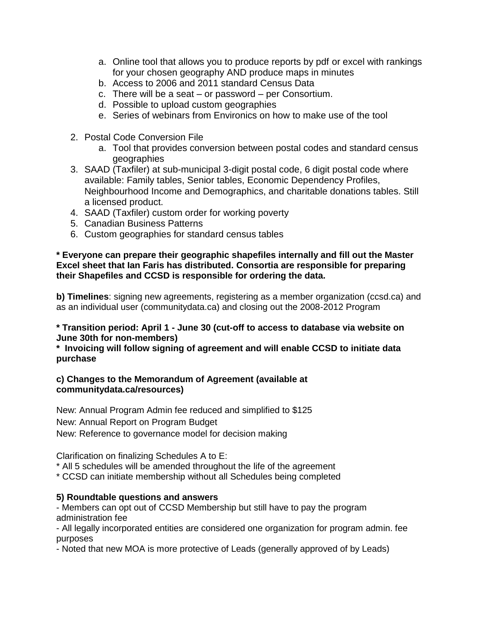- a. Online tool that allows you to produce reports by pdf or excel with rankings for your chosen geography AND produce maps in minutes
- b. Access to 2006 and 2011 standard Census Data
- c. There will be a seat or password per Consortium.
- d. Possible to upload custom geographies
- e. Series of webinars from Environics on how to make use of the tool
- 2. Postal Code Conversion File
	- a. Tool that provides conversion between postal codes and standard census geographies
- 3. SAAD (Taxfiler) at sub-municipal 3-digit postal code, 6 digit postal code where available: Family tables, Senior tables, Economic Dependency Profiles, Neighbourhood Income and Demographics, and charitable donations tables. Still a licensed product.
- 4. SAAD (Taxfiler) custom order for working poverty
- 5. Canadian Business Patterns
- 6. Custom geographies for standard census tables

### **\* Everyone can prepare their geographic shapefiles internally and fill out the Master Excel sheet that Ian Faris has distributed. Consortia are responsible for preparing their Shapefiles and CCSD is responsible for ordering the data.**

**b) Timelines**: signing new agreements, registering as a member organization (ccsd.ca) and as an individual user (communitydata.ca) and closing out the 2008-2012 Program

### **\* Transition period: April 1 - June 30 (cut-off to access to database via website on June 30th for non-members)**

**\* Invoicing will follow signing of agreement and will enable CCSD to initiate data purchase**

### **c) Changes to the Memorandum of Agreement (available at communitydata.ca/resources)**

New: Annual Program Admin fee reduced and simplified to \$125 New: Annual Report on Program Budget New: Reference to governance model for decision making

Clarification on finalizing Schedules A to E:

\* All 5 schedules will be amended throughout the life of the agreement

\* CCSD can initiate membership without all Schedules being completed

## **5) Roundtable questions and answers**

- Members can opt out of CCSD Membership but still have to pay the program administration fee

- All legally incorporated entities are considered one organization for program admin. fee purposes

- Noted that new MOA is more protective of Leads (generally approved of by Leads)